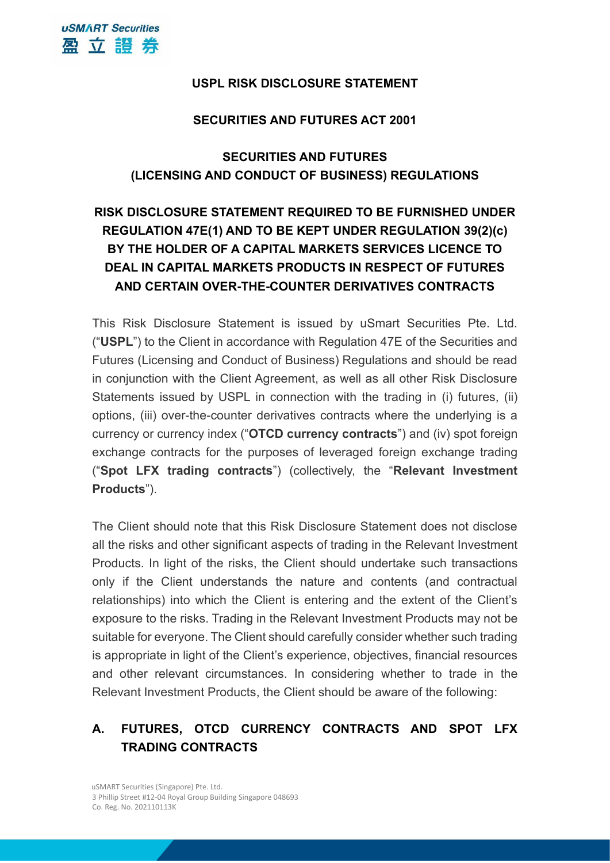## **USPL RISK DISCLOSURE STATEMENT**

#### **SECURITIES AND FUTURES ACT 2001**

# **SECURITIES AND FUTURES (LICENSING AND CONDUCT OF BUSINESS) REGULATIONS**

# **RISK DISCLOSURE STATEMENT REQUIRED TO BE FURNISHED UNDER REGULATION 47E(1) AND TO BE KEPT UNDER REGULATION 39(2)(c) BY THE HOLDER OF A CAPITAL MARKETS SERVICES LICENCE TO DEAL IN CAPITAL MARKETS PRODUCTS IN RESPECT OF FUTURES AND CERTAIN OVER-THE-COUNTER DERIVATIVES CONTRACTS**

This Risk Disclosure Statement is issued by uSmart Securities Pte. Ltd. ("**USPL**") to the Client in accordance with Regulation 47E of the Securities and Futures (Licensing and Conduct of Business) Regulations and should be read in conjunction with the Client Agreement, as well as all other Risk Disclosure Statements issued by USPL in connection with the trading in (i) futures, (ii) options, (iii) over-the-counter derivatives contracts where the underlying is a currency or currency index ("**OTCD currency contracts**") and (iv) spot foreign exchange contracts for the purposes of leveraged foreign exchange trading ("**Spot LFX trading contracts**") (collectively, the "**Relevant Investment Products**").

The Client should note that this Risk Disclosure Statement does not disclose all the risks and other significant aspects of trading in the Relevant Investment Products. In light of the risks, the Client should undertake such transactions only if the Client understands the nature and contents (and contractual relationships) into which the Client is entering and the extent of the Client's exposure to the risks. Trading in the Relevant Investment Products may not be suitable for everyone. The Client should carefully consider whether such trading is appropriate in light of the Client's experience, objectives, financial resources and other relevant circumstances. In considering whether to trade in the Relevant Investment Products, the Client should be aware of the following:

# **A. FUTURES, OTCD CURRENCY CONTRACTS AND SPOT LFX TRADING CONTRACTS**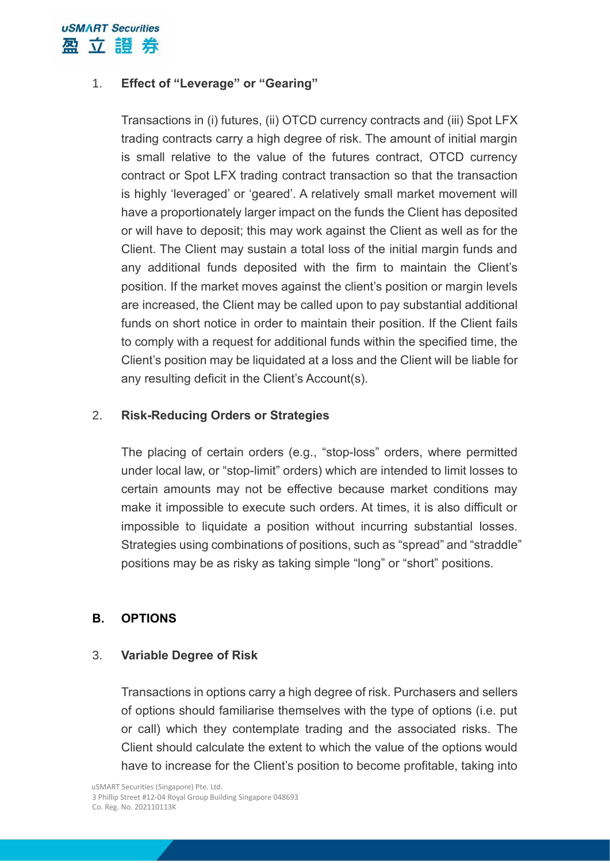

## 1. **Effect of "Leverage" or "Gearing"**

Transactions in (i) futures, (ii) OTCD currency contracts and (iii) Spot LFX trading contracts carry a high degree of risk. The amount of initial margin is small relative to the value of the futures contract, OTCD currency contract or Spot LFX trading contract transaction so that the transaction is highly 'leveraged' or 'geared'. A relatively small market movement will have a proportionately larger impact on the funds the Client has deposited or will have to deposit; this may work against the Client as well as for the Client. The Client may sustain a total loss of the initial margin funds and any additional funds deposited with the firm to maintain the Client's position. If the market moves against the client's position or margin levels are increased, the Client may be called upon to pay substantial additional funds on short notice in order to maintain their position. If the Client fails to comply with a request for additional funds within the specified time, the Client's position may be liquidated at a loss and the Client will be liable for any resulting deficit in the Client's Account(s).

#### 2. **Risk-Reducing Orders or Strategies**

The placing of certain orders (e.g., "stop-loss" orders, where permitted under local law, or "stop-limit" orders) which are intended to limit losses to certain amounts may not be effective because market conditions may make it impossible to execute such orders. At times, it is also difficult or impossible to liquidate a position without incurring substantial losses. Strategies using combinations of positions, such as "spread" and "straddle" positions may be as risky as taking simple "long" or "short" positions.

## **B. OPTIONS**

#### 3. **Variable Degree of Risk**

Transactions in options carry a high degree of risk. Purchasers and sellers of options should familiarise themselves with the type of options (i.e. put or call) which they contemplate trading and the associated risks. The Client should calculate the extent to which the value of the options would have to increase for the Client's position to become profitable, taking into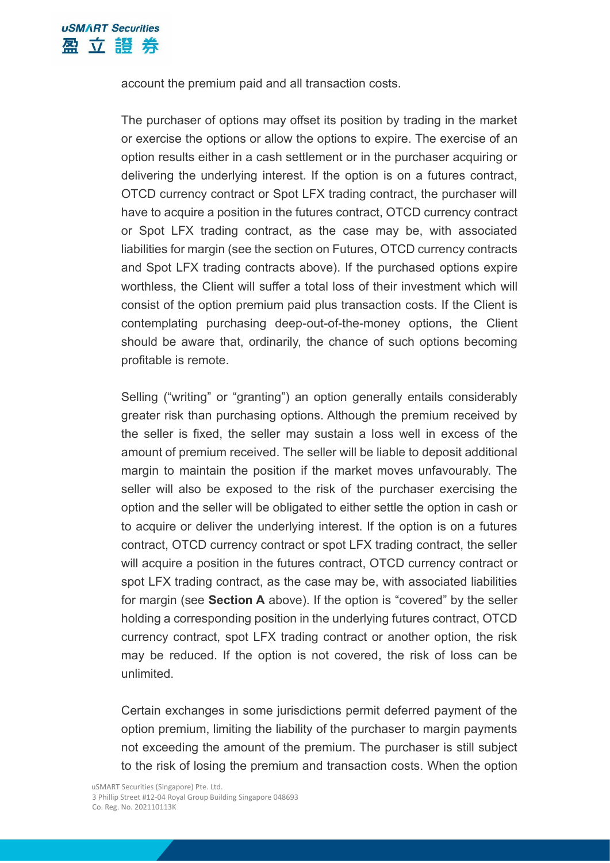account the premium paid and all transaction costs.

The purchaser of options may offset its position by trading in the market or exercise the options or allow the options to expire. The exercise of an option results either in a cash settlement or in the purchaser acquiring or delivering the underlying interest. If the option is on a futures contract, OTCD currency contract or Spot LFX trading contract, the purchaser will have to acquire a position in the futures contract, OTCD currency contract or Spot LFX trading contract, as the case may be, with associated liabilities for margin (see the section on Futures, OTCD currency contracts and Spot LFX trading contracts above). If the purchased options expire worthless, the Client will suffer a total loss of their investment which will consist of the option premium paid plus transaction costs. If the Client is contemplating purchasing deep-out-of-the-money options, the Client should be aware that, ordinarily, the chance of such options becoming profitable is remote.

Selling ("writing" or "granting") an option generally entails considerably greater risk than purchasing options. Although the premium received by the seller is fixed, the seller may sustain a loss well in excess of the amount of premium received. The seller will be liable to deposit additional margin to maintain the position if the market moves unfavourably. The seller will also be exposed to the risk of the purchaser exercising the option and the seller will be obligated to either settle the option in cash or to acquire or deliver the underlying interest. If the option is on a futures contract, OTCD currency contract or spot LFX trading contract, the seller will acquire a position in the futures contract, OTCD currency contract or spot LFX trading contract, as the case may be, with associated liabilities for margin (see **Section A** above). If the option is "covered" by the seller holding a corresponding position in the underlying futures contract, OTCD currency contract, spot LFX trading contract or another option, the risk may be reduced. If the option is not covered, the risk of loss can be unlimited.

Certain exchanges in some jurisdictions permit deferred payment of the option premium, limiting the liability of the purchaser to margin payments not exceeding the amount of the premium. The purchaser is still subject to the risk of losing the premium and transaction costs. When the option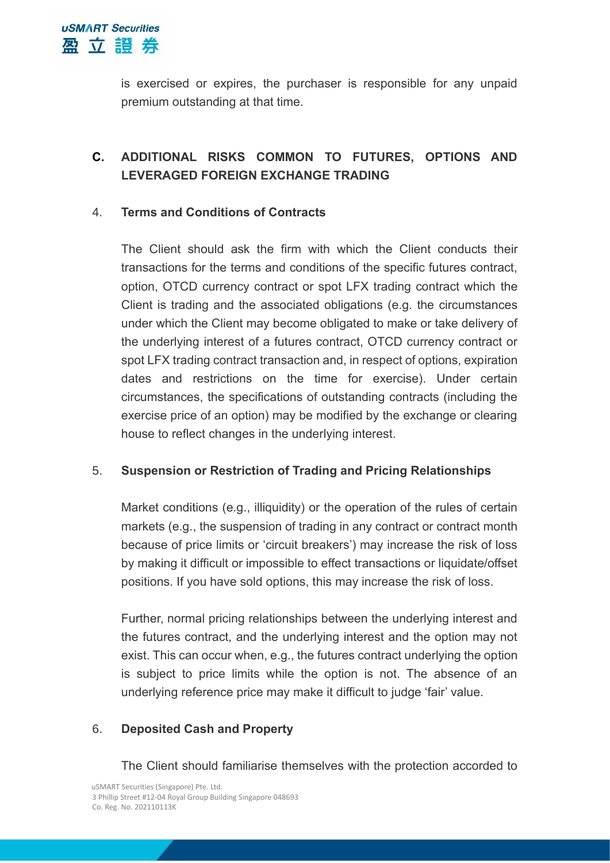

is exercised or expires, the purchaser is responsible for any unpaid premium outstanding at that time.

# **C. ADDITIONAL RISKS COMMON TO FUTURES, OPTIONS AND LEVERAGED FOREIGN EXCHANGE TRADING**

#### 4. **Terms and Conditions of Contracts**

The Client should ask the firm with which the Client conducts their transactions for the terms and conditions of the specific futures contract, option, OTCD currency contract or spot LFX trading contract which the Client is trading and the associated obligations (e.g. the circumstances under which the Client may become obligated to make or take delivery of the underlying interest of a futures contract, OTCD currency contract or spot LFX trading contract transaction and, in respect of options, expiration dates and restrictions on the time for exercise). Under certain circumstances, the specifications of outstanding contracts (including the exercise price of an option) may be modified by the exchange or clearing house to reflect changes in the underlying interest.

## 5. **Suspension or Restriction of Trading and Pricing Relationships**

Market conditions (e.g., illiquidity) or the operation of the rules of certain markets (e.g., the suspension of trading in any contract or contract month because of price limits or 'circuit breakers') may increase the risk of loss by making it difficult or impossible to effect transactions or liquidate/offset positions. If you have sold options, this may increase the risk of loss.

Further, normal pricing relationships between the underlying interest and the futures contract, and the underlying interest and the option may not exist. This can occur when, e.g., the futures contract underlying the option is subject to price limits while the option is not. The absence of an underlying reference price may make it difficult to judge 'fair' value.

#### 6. **Deposited Cash and Property**

The Client should familiarise themselves with the protection accorded to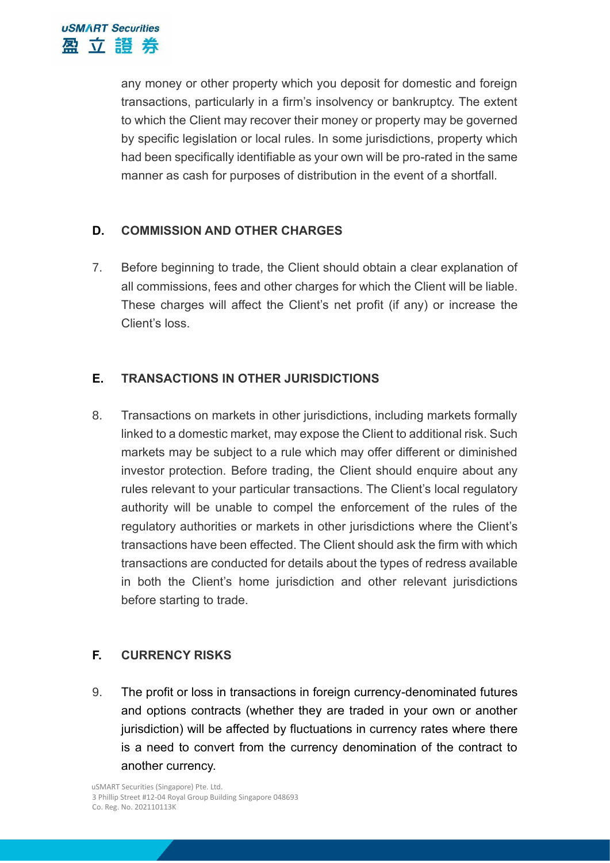any money or other property which you deposit for domestic and foreign transactions, particularly in a firm's insolvency or bankruptcy. The extent to which the Client may recover their money or property may be governed by specific legislation or local rules. In some jurisdictions, property which had been specifically identifiable as your own will be pro-rated in the same manner as cash for purposes of distribution in the event of a shortfall.

# **D. COMMISSION AND OTHER CHARGES**

7. Before beginning to trade, the Client should obtain a clear explanation of all commissions, fees and other charges for which the Client will be liable. These charges will affect the Client's net profit (if any) or increase the Client's loss.

# **E. TRANSACTIONS IN OTHER JURISDICTIONS**

8. Transactions on markets in other jurisdictions, including markets formally linked to a domestic market, may expose the Client to additional risk. Such markets may be subject to a rule which may offer different or diminished investor protection. Before trading, the Client should enquire about any rules relevant to your particular transactions. The Client's local regulatory authority will be unable to compel the enforcement of the rules of the regulatory authorities or markets in other jurisdictions where the Client's transactions have been effected. The Client should ask the firm with which transactions are conducted for details about the types of redress available in both the Client's home jurisdiction and other relevant jurisdictions before starting to trade.

## **F. CURRENCY RISKS**

9. The profit or loss in transactions in foreign currency-denominated futures and options contracts (whether they are traded in your own or another jurisdiction) will be affected by fluctuations in currency rates where there is a need to convert from the currency denomination of the contract to another currency.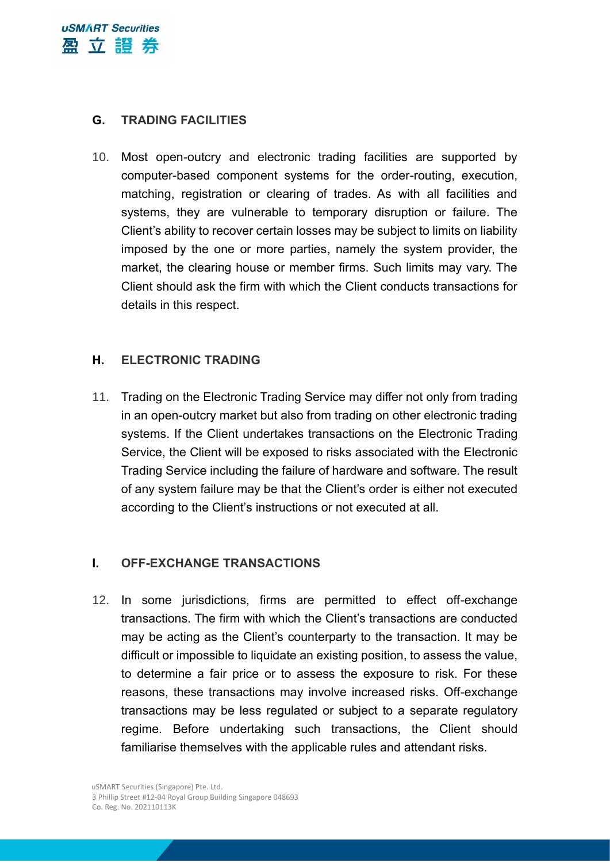

## **G. TRADING FACILITIES**

10. Most open-outcry and electronic trading facilities are supported by computer-based component systems for the order-routing, execution, matching, registration or clearing of trades. As with all facilities and systems, they are vulnerable to temporary disruption or failure. The Client's ability to recover certain losses may be subject to limits on liability imposed by the one or more parties, namely the system provider, the market, the clearing house or member firms. Such limits may vary. The Client should ask the firm with which the Client conducts transactions for details in this respect.

#### **H. ELECTRONIC TRADING**

11. Trading on the Electronic Trading Service may differ not only from trading in an open-outcry market but also from trading on other electronic trading systems. If the Client undertakes transactions on the Electronic Trading Service, the Client will be exposed to risks associated with the Electronic Trading Service including the failure of hardware and software. The result of any system failure may be that the Client's order is either not executed according to the Client's instructions or not executed at all.

## **I. OFF-EXCHANGE TRANSACTIONS**

12. In some jurisdictions, firms are permitted to effect off-exchange transactions. The firm with which the Client's transactions are conducted may be acting as the Client's counterparty to the transaction. It may be difficult or impossible to liquidate an existing position, to assess the value, to determine a fair price or to assess the exposure to risk. For these reasons, these transactions may involve increased risks. Off-exchange transactions may be less regulated or subject to a separate regulatory regime. Before undertaking such transactions, the Client should familiarise themselves with the applicable rules and attendant risks.